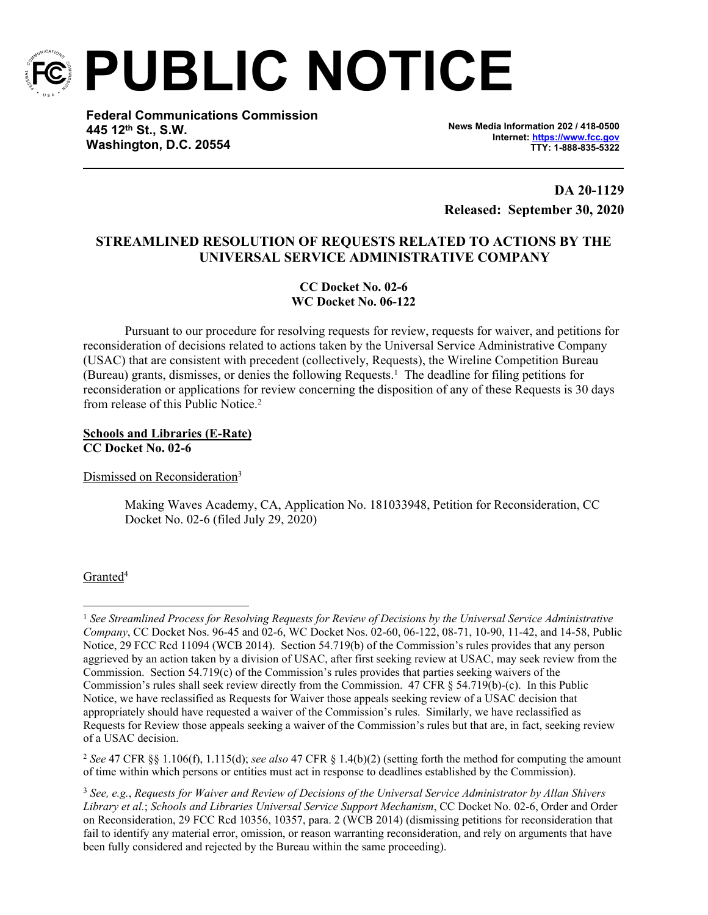

**PUBLIC NOTICE**

**Federal Communications Commission 445 12th St., S.W. Washington, D.C. 20554**

**News Media Information 202 / 418-0500 Internet:<https://www.fcc.gov> TTY: 1-888-835-5322**

**DA 20-1129 Released: September 30, 2020**

# **STREAMLINED RESOLUTION OF REQUESTS RELATED TO ACTIONS BY THE UNIVERSAL SERVICE ADMINISTRATIVE COMPANY**

**CC Docket No. 02-6 WC Docket No. 06-122**

Pursuant to our procedure for resolving requests for review, requests for waiver, and petitions for reconsideration of decisions related to actions taken by the Universal Service Administrative Company (USAC) that are consistent with precedent (collectively, Requests), the Wireline Competition Bureau (Bureau) grants, dismisses, or denies the following Requests.<sup>1</sup> The deadline for filing petitions for reconsideration or applications for review concerning the disposition of any of these Requests is 30 days from release of this Public Notice<sup>2</sup>

### **Schools and Libraries (E-Rate) CC Docket No. 02-6**

Dismissed on Reconsideration<sup>3</sup>

Making Waves Academy, CA, Application No. 181033948, Petition for Reconsideration, CC Docket No. 02-6 (filed July 29, 2020)

## Granted<sup>4</sup>

<sup>1</sup> *See Streamlined Process for Resolving Requests for Review of Decisions by the Universal Service Administrative Company*, CC Docket Nos. 96-45 and 02-6, WC Docket Nos. 02-60, 06-122, 08-71, 10-90, 11-42, and 14-58, Public Notice, 29 FCC Rcd 11094 (WCB 2014). Section 54.719(b) of the Commission's rules provides that any person aggrieved by an action taken by a division of USAC, after first seeking review at USAC, may seek review from the Commission. Section 54.719(c) of the Commission's rules provides that parties seeking waivers of the Commission's rules shall seek review directly from the Commission. 47 CFR § 54.719(b)-(c). In this Public Notice, we have reclassified as Requests for Waiver those appeals seeking review of a USAC decision that appropriately should have requested a waiver of the Commission's rules. Similarly, we have reclassified as Requests for Review those appeals seeking a waiver of the Commission's rules but that are, in fact, seeking review of a USAC decision.

<sup>2</sup> *See* 47 CFR §§ 1.106(f), 1.115(d); *see also* 47 CFR § 1.4(b)(2) (setting forth the method for computing the amount of time within which persons or entities must act in response to deadlines established by the Commission).

<sup>3</sup> *See, e.g.*, *Requests for Waiver and Review of Decisions of the Universal Service Administrator by Allan Shivers Library et al.*; *Schools and Libraries Universal Service Support Mechanism*, CC Docket No. 02-6, Order and Order on Reconsideration, 29 FCC Rcd 10356, 10357, para. 2 (WCB 2014) (dismissing petitions for reconsideration that fail to identify any material error, omission, or reason warranting reconsideration, and rely on arguments that have been fully considered and rejected by the Bureau within the same proceeding).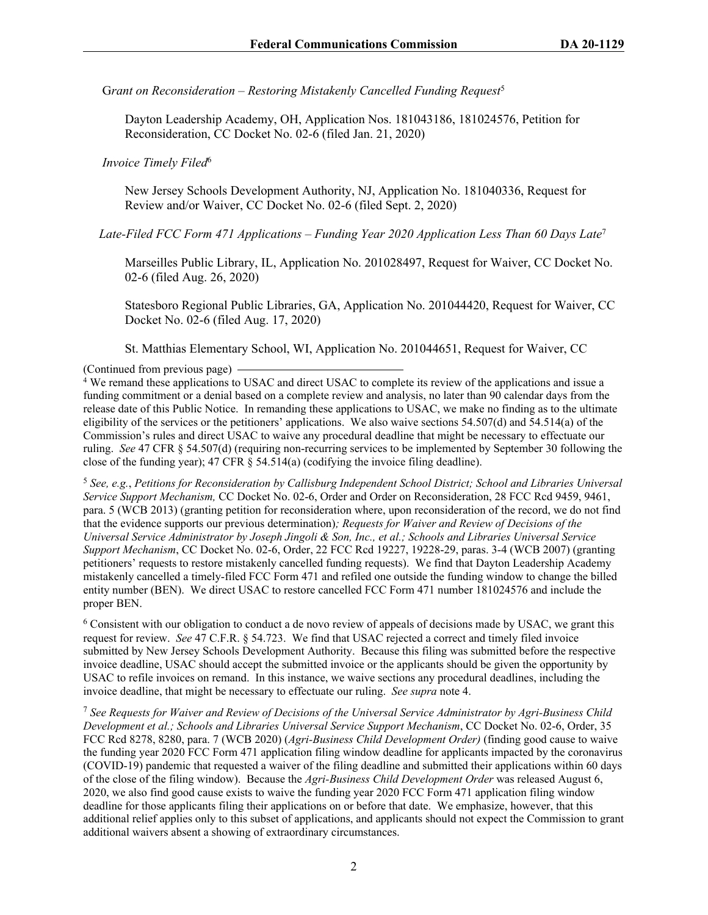G*rant on Reconsideration – Restoring Mistakenly Cancelled Funding Request*<sup>5</sup>

Dayton Leadership Academy, OH, Application Nos. 181043186, 181024576, Petition for Reconsideration, CC Docket No. 02-6 (filed Jan. 21, 2020)

#### *Invoice Timely Filed*<sup>6</sup>

New Jersey Schools Development Authority, NJ, Application No. 181040336, Request for Review and/or Waiver, CC Docket No. 02-6 (filed Sept. 2, 2020)

 *Late-Filed FCC Form 471 Applications – Funding Year 2020 Application Less Than 60 Days Late*<sup>7</sup>

Marseilles Public Library, IL, Application No. 201028497, Request for Waiver, CC Docket No. 02-6 (filed Aug. 26, 2020)

Statesboro Regional Public Libraries, GA, Application No. 201044420, Request for Waiver, CC Docket No. 02-6 (filed Aug. 17, 2020)

St. Matthias Elementary School, WI, Application No. 201044651, Request for Waiver, CC

(Continued from previous page)

4 We remand these applications to USAC and direct USAC to complete its review of the applications and issue a funding commitment or a denial based on a complete review and analysis, no later than 90 calendar days from the release date of this Public Notice. In remanding these applications to USAC, we make no finding as to the ultimate eligibility of the services or the petitioners' applications. We also waive sections 54.507(d) and 54.514(a) of the Commission's rules and direct USAC to waive any procedural deadline that might be necessary to effectuate our ruling. *See* 47 CFR § 54.507(d) (requiring non-recurring services to be implemented by September 30 following the close of the funding year); 47 CFR § 54.514(a) (codifying the invoice filing deadline).

<sup>5</sup> *See, e.g.*, *Petitions for Reconsideration by Callisburg Independent School District; School and Libraries Universal Service Support Mechanism,* CC Docket No. 02-6, Order and Order on Reconsideration, 28 FCC Rcd 9459, 9461, para. 5 (WCB 2013) (granting petition for reconsideration where, upon reconsideration of the record, we do not find that the evidence supports our previous determination)*; Requests for Waiver and Review of Decisions of the Universal Service Administrator by Joseph Jingoli & Son, Inc., et al.; Schools and Libraries Universal Service Support Mechanism*, CC Docket No. 02-6, Order, 22 FCC Rcd 19227, 19228-29, paras. 3-4 (WCB 2007) (granting petitioners' requests to restore mistakenly cancelled funding requests). We find that Dayton Leadership Academy mistakenly cancelled a timely-filed FCC Form 471 and refiled one outside the funding window to change the billed entity number (BEN). We direct USAC to restore cancelled FCC Form 471 number 181024576 and include the proper BEN.

<sup>6</sup> Consistent with our obligation to conduct a de novo review of appeals of decisions made by USAC, we grant this request for review. *See* 47 C.F.R. § 54.723. We find that USAC rejected a correct and timely filed invoice submitted by New Jersey Schools Development Authority. Because this filing was submitted before the respective invoice deadline, USAC should accept the submitted invoice or the applicants should be given the opportunity by USAC to refile invoices on remand. In this instance, we waive sections any procedural deadlines, including the invoice deadline, that might be necessary to effectuate our ruling. *See supra* note 4.

<sup>7</sup> *See Requests for Waiver and Review of Decisions of the Universal Service Administrator by Agri-Business Child Development et al.; Schools and Libraries Universal Service Support Mechanism*, CC Docket No. 02-6, Order, 35 FCC Rcd 8278, 8280, para. 7 (WCB 2020) (*Agri-Business Child Development Order)* (finding good cause to waive the funding year 2020 FCC Form 471 application filing window deadline for applicants impacted by the coronavirus (COVID-19) pandemic that requested a waiver of the filing deadline and submitted their applications within 60 days of the close of the filing window). Because the *Agri-Business Child Development Order* was released August 6, 2020, we also find good cause exists to waive the funding year 2020 FCC Form 471 application filing window deadline for those applicants filing their applications on or before that date. We emphasize, however, that this additional relief applies only to this subset of applications, and applicants should not expect the Commission to grant additional waivers absent a showing of extraordinary circumstances.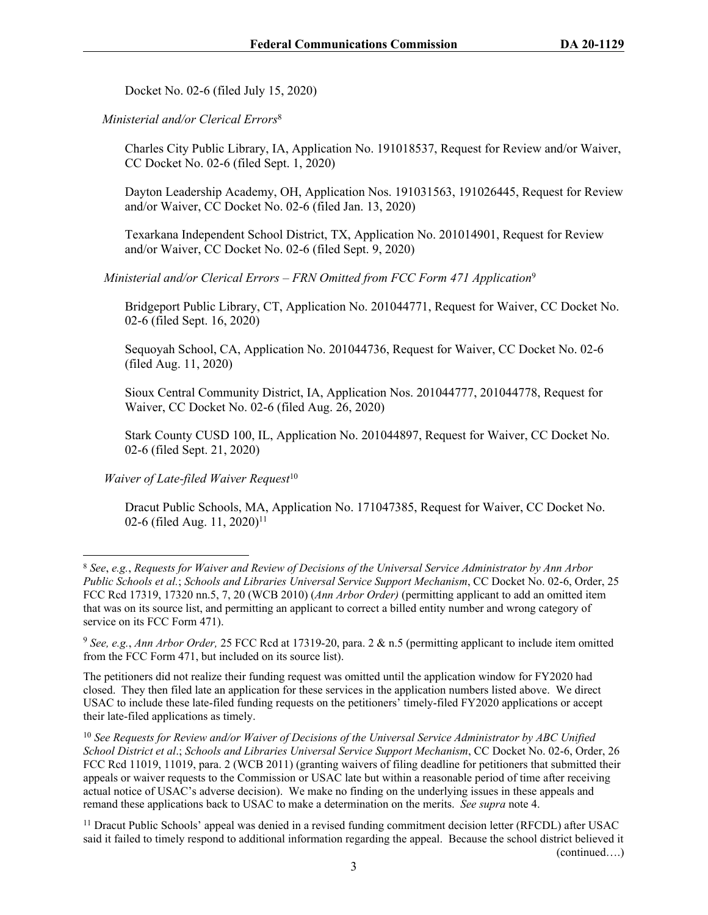Docket No. 02-6 (filed July 15, 2020)

 *Ministerial and/or Clerical Errors*<sup>8</sup>

Charles City Public Library, IA, Application No. 191018537, Request for Review and/or Waiver, CC Docket No. 02-6 (filed Sept. 1, 2020)

Dayton Leadership Academy, OH, Application Nos. 191031563, 191026445, Request for Review and/or Waiver, CC Docket No. 02-6 (filed Jan. 13, 2020)

Texarkana Independent School District, TX, Application No. 201014901, Request for Review and/or Waiver, CC Docket No. 02-6 (filed Sept. 9, 2020)

*Ministerial and/or Clerical Errors – FRN Omitted from FCC Form 471 Application*<sup>9</sup>

Bridgeport Public Library, CT, Application No. 201044771, Request for Waiver, CC Docket No. 02-6 (filed Sept. 16, 2020)

Sequoyah School, CA, Application No. 201044736, Request for Waiver, CC Docket No. 02-6 (filed Aug. 11, 2020)

Sioux Central Community District, IA, Application Nos. 201044777, 201044778, Request for Waiver, CC Docket No. 02-6 (filed Aug. 26, 2020)

Stark County CUSD 100, IL, Application No. 201044897, Request for Waiver, CC Docket No. 02-6 (filed Sept. 21, 2020)

*Waiver of Late-filed Waiver Request*<sup>10</sup>

Dracut Public Schools, MA, Application No. 171047385, Request for Waiver, CC Docket No. 02-6 (filed Aug. 11, 2020)<sup>11</sup>

<sup>8</sup> *See*, *e.g.*, *Requests for Waiver and Review of Decisions of the Universal Service Administrator by Ann Arbor Public Schools et al.*; *Schools and Libraries Universal Service Support Mechanism*, CC Docket No. 02-6, Order, 25 FCC Rcd 17319, 17320 nn.5, 7, 20 (WCB 2010) (*Ann Arbor Order)* (permitting applicant to add an omitted item that was on its source list, and permitting an applicant to correct a billed entity number and wrong category of service on its FCC Form 471).

<sup>9</sup> *See, e.g.*, *Ann Arbor Order,* 25 FCC Rcd at 17319-20, para. 2 & n.5 (permitting applicant to include item omitted from the FCC Form 471, but included on its source list).

The petitioners did not realize their funding request was omitted until the application window for FY2020 had closed. They then filed late an application for these services in the application numbers listed above. We direct USAC to include these late-filed funding requests on the petitioners' timely-filed FY2020 applications or accept their late-filed applications as timely.

<sup>10</sup> *See Requests for Review and/or Waiver of Decisions of the Universal Service Administrator by ABC Unified School District et al*.; *Schools and Libraries Universal Service Support Mechanism*, CC Docket No. 02-6, Order, 26 FCC Rcd 11019, 11019, para. 2 (WCB 2011) (granting waivers of filing deadline for petitioners that submitted their appeals or waiver requests to the Commission or USAC late but within a reasonable period of time after receiving actual notice of USAC's adverse decision). We make no finding on the underlying issues in these appeals and remand these applications back to USAC to make a determination on the merits. *See supra* note 4.

<sup>&</sup>lt;sup>11</sup> Dracut Public Schools' appeal was denied in a revised funding commitment decision letter (RFCDL) after USAC said it failed to timely respond to additional information regarding the appeal. Because the school district believed it (continued….)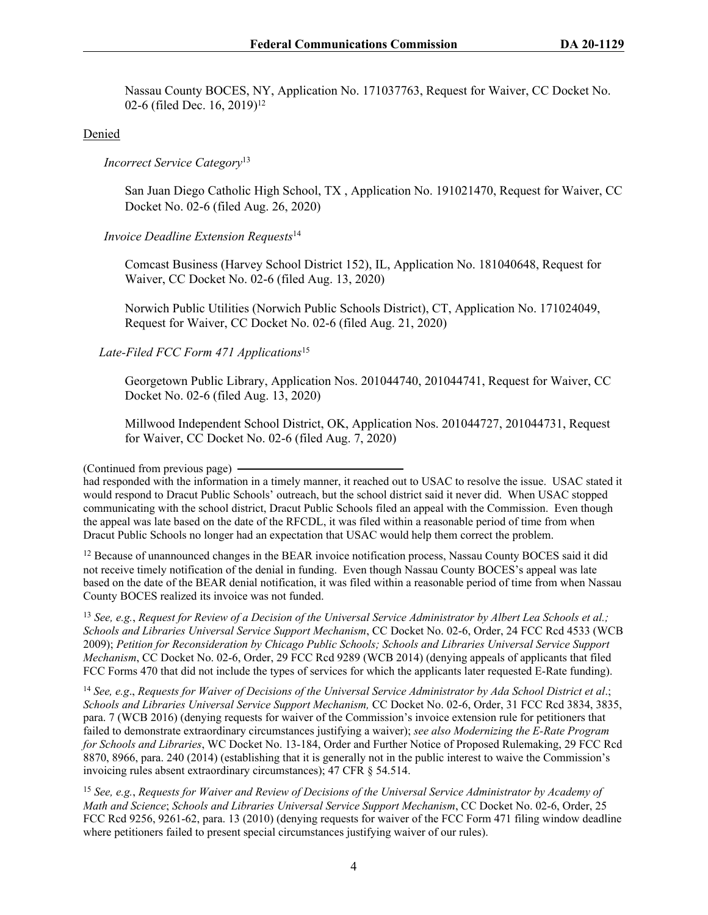Nassau County BOCES, NY, Application No. 171037763, Request for Waiver, CC Docket No. 02-6 (filed Dec. 16, 2019)<sup>12</sup>

### Denied

*Incorrect Service Category*<sup>13</sup>

San Juan Diego Catholic High School, TX , Application No. 191021470, Request for Waiver, CC Docket No. 02-6 (filed Aug. 26, 2020)

### *Invoice Deadline Extension Requests*<sup>14</sup>

Comcast Business (Harvey School District 152), IL, Application No. 181040648, Request for Waiver, CC Docket No. 02-6 (filed Aug. 13, 2020)

Norwich Public Utilities (Norwich Public Schools District), CT, Application No. 171024049, Request for Waiver, CC Docket No. 02-6 (filed Aug. 21, 2020)

### *Late-Filed FCC Form 471 Applications*<sup>15</sup>

Georgetown Public Library, Application Nos. 201044740, 201044741, Request for Waiver, CC Docket No. 02-6 (filed Aug. 13, 2020)

Millwood Independent School District, OK, Application Nos. 201044727, 201044731, Request for Waiver, CC Docket No. 02-6 (filed Aug. 7, 2020)

(Continued from previous page)

had responded with the information in a timely manner, it reached out to USAC to resolve the issue. USAC stated it would respond to Dracut Public Schools' outreach, but the school district said it never did. When USAC stopped communicating with the school district, Dracut Public Schools filed an appeal with the Commission. Even though the appeal was late based on the date of the RFCDL, it was filed within a reasonable period of time from when Dracut Public Schools no longer had an expectation that USAC would help them correct the problem.

<sup>12</sup> Because of unannounced changes in the BEAR invoice notification process, Nassau County BOCES said it did not receive timely notification of the denial in funding. Even though Nassau County BOCES's appeal was late based on the date of the BEAR denial notification, it was filed within a reasonable period of time from when Nassau County BOCES realized its invoice was not funded.

<sup>13</sup> *See, e.g.*, *Request for Review of a Decision of the Universal Service Administrator by Albert Lea Schools et al.; Schools and Libraries Universal Service Support Mechanism*, CC Docket No. 02-6, Order, 24 FCC Rcd 4533 (WCB 2009); *Petition for Reconsideration by Chicago Public Schools; Schools and Libraries Universal Service Support Mechanism*, CC Docket No. 02-6, Order, 29 FCC Rcd 9289 (WCB 2014) (denying appeals of applicants that filed FCC Forms 470 that did not include the types of services for which the applicants later requested E-Rate funding).

<sup>14</sup> *See, e.g*., *Requests for Waiver of Decisions of the Universal Service Administrator by Ada School District et al*.; *Schools and Libraries Universal Service Support Mechanism,* CC Docket No. 02-6, Order, 31 FCC Rcd 3834, 3835, para. 7 (WCB 2016) (denying requests for waiver of the Commission's invoice extension rule for petitioners that failed to demonstrate extraordinary circumstances justifying a waiver); *see also Modernizing the E-Rate Program for Schools and Libraries*, WC Docket No. 13-184, Order and Further Notice of Proposed Rulemaking, 29 FCC Rcd 8870, 8966, para. 240 (2014) (establishing that it is generally not in the public interest to waive the Commission's invoicing rules absent extraordinary circumstances); 47 CFR § 54.514.

<sup>15</sup> *See, e.g.*, *Requests for Waiver and Review of Decisions of the Universal Service Administrator by Academy of Math and Science*; *Schools and Libraries Universal Service Support Mechanism*, CC Docket No. 02-6, Order, 25 FCC Rcd 9256, 9261-62, para. 13 (2010) (denying requests for waiver of the FCC Form 471 filing window deadline where petitioners failed to present special circumstances justifying waiver of our rules).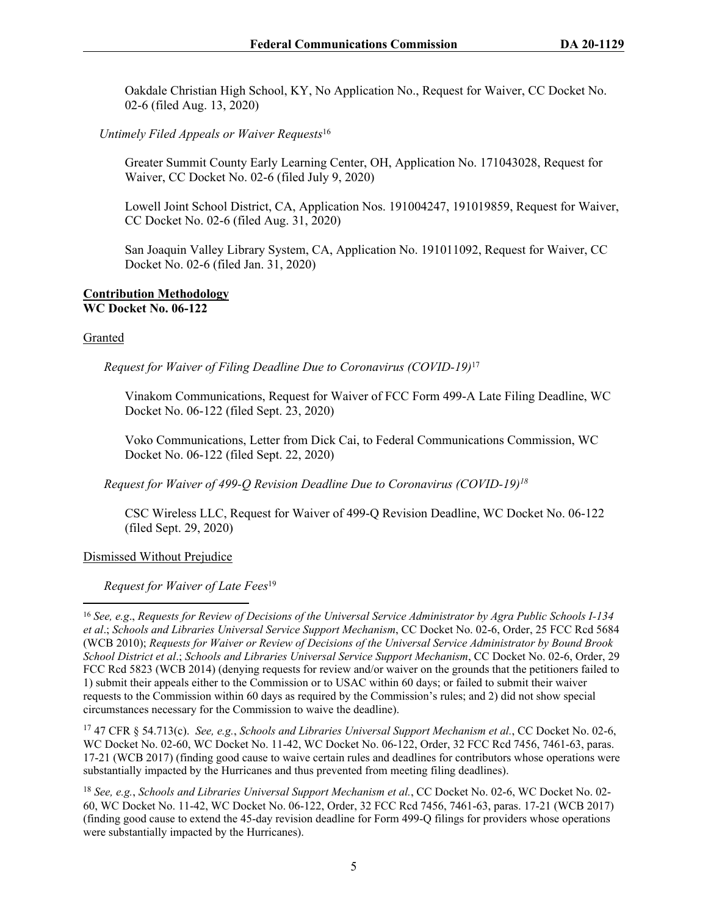Oakdale Christian High School, KY, No Application No., Request for Waiver, CC Docket No. 02-6 (filed Aug. 13, 2020)

 *Untimely Filed Appeals or Waiver Requests*<sup>16</sup>

Greater Summit County Early Learning Center, OH, Application No. 171043028, Request for Waiver, CC Docket No. 02-6 (filed July 9, 2020)

Lowell Joint School District, CA, Application Nos. 191004247, 191019859, Request for Waiver, CC Docket No. 02-6 (filed Aug. 31, 2020)

San Joaquin Valley Library System, CA, Application No. 191011092, Request for Waiver, CC Docket No. 02-6 (filed Jan. 31, 2020)

#### **Contribution Methodology WC Docket No. 06-122**

#### Granted

*Request for Waiver of Filing Deadline Due to Coronavirus (COVID-19)*<sup>17</sup>

Vinakom Communications, Request for Waiver of FCC Form 499-A Late Filing Deadline, WC Docket No. 06-122 (filed Sept. 23, 2020)

Voko Communications, Letter from Dick Cai, to Federal Communications Commission, WC Docket No. 06-122 (filed Sept. 22, 2020)

*Request for Waiver of 499-Q Revision Deadline Due to Coronavirus (COVID-19)<sup>18</sup>*

CSC Wireless LLC, Request for Waiver of 499-Q Revision Deadline, WC Docket No. 06-122 (filed Sept. 29, 2020)

### Dismissed Without Prejudice

*Request for Waiver of Late Fees*<sup>19</sup>

<sup>17</sup> 47 CFR § 54.713(c). *See, e.g.*, *Schools and Libraries Universal Support Mechanism et al.*, CC Docket No. 02-6, WC Docket No. 02-60, WC Docket No. 11-42, WC Docket No. 06-122, Order, 32 FCC Rcd 7456, 7461-63, paras. 17-21 (WCB 2017) (finding good cause to waive certain rules and deadlines for contributors whose operations were substantially impacted by the Hurricanes and thus prevented from meeting filing deadlines).

<sup>18</sup> *See, e.g.*, *Schools and Libraries Universal Support Mechanism et al.*, CC Docket No. 02-6, WC Docket No. 02- 60, WC Docket No. 11-42, WC Docket No. 06-122, Order, 32 FCC Rcd 7456, 7461-63, paras. 17-21 (WCB 2017) (finding good cause to extend the 45-day revision deadline for Form 499-Q filings for providers whose operations were substantially impacted by the Hurricanes).

<sup>16</sup> *See, e.g*., *Requests for Review of Decisions of the Universal Service Administrator by Agra Public Schools I-134 et al*.; *Schools and Libraries Universal Service Support Mechanism*, CC Docket No. 02-6, Order, 25 FCC Rcd 5684 (WCB 2010); *Requests for Waiver or Review of Decisions of the Universal Service Administrator by Bound Brook School District et al*.; *Schools and Libraries Universal Service Support Mechanism*, CC Docket No. 02-6, Order, 29 FCC Rcd 5823 (WCB 2014) (denying requests for review and/or waiver on the grounds that the petitioners failed to 1) submit their appeals either to the Commission or to USAC within 60 days; or failed to submit their waiver requests to the Commission within 60 days as required by the Commission's rules; and 2) did not show special circumstances necessary for the Commission to waive the deadline).